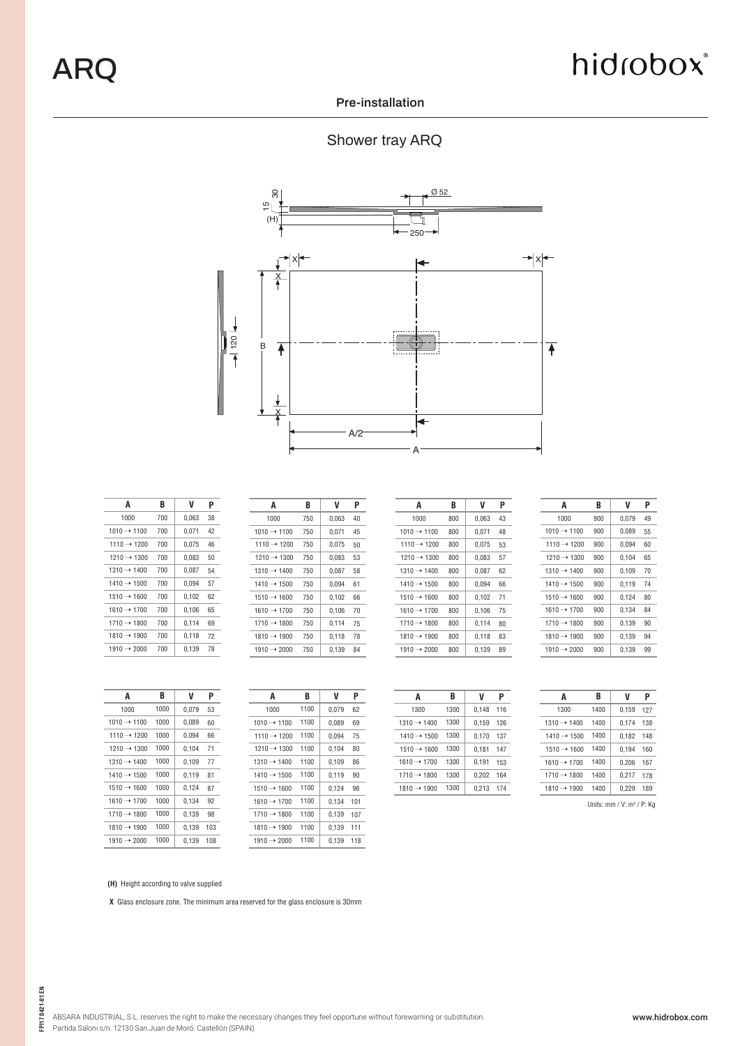### hidrobox®

#### **Pre-installation**

### Shower tray ARQ



| A                       | B   | V     | P  |
|-------------------------|-----|-------|----|
| 1000                    | 700 | 0.063 | 38 |
| $1010 \rightarrow 1100$ | 700 | 0.071 | 42 |
| $1110 \rightarrow 1200$ | 700 | 0.075 | 46 |
| $1210 \rightarrow 1300$ | 700 | 0,083 | 50 |
| $1310 \rightarrow 1400$ | 700 | 0.087 | 54 |
| $1410 \rightarrow 1500$ | 700 | 0.094 | 57 |
| $1510 \rightarrow 1600$ | 700 | 0,102 | 62 |
| $1610 \rightarrow 1700$ | 700 | 0.106 | 65 |
| $1710 \rightarrow 1800$ | 700 | 0.114 | 69 |
| $1810 \rightarrow 1900$ | 700 | 0.118 | 72 |
| $1910 \rightarrow 2000$ | 700 | 0.139 | 78 |
|                         |     |       |    |

| A                       | B   |       | P  |
|-------------------------|-----|-------|----|
| 1000                    | 750 | 0.063 | 40 |
| $1010 \rightarrow 1100$ | 750 | 0.071 | 45 |
| $1110 \rightarrow 1200$ | 750 | 0.075 | 50 |
| $1210 \rightarrow 1300$ | 750 | 0.083 | 53 |
| $1310 \rightarrow 1400$ | 750 | 0.087 | 58 |
| $1410 \rightarrow 1500$ | 750 | 0.094 | 61 |
| $1510 \rightarrow 1600$ | 750 | 0.102 | 66 |
| $1610 \rightarrow 1700$ | 750 | 0.106 | 70 |
| $1710 \rightarrow 1800$ | 750 | 0.114 | 75 |
| $1810 \rightarrow 1900$ | 750 | 0.118 | 78 |
| $1910 \rightarrow 2000$ | 750 | 0.139 | 84 |
|                         |     |       |    |

| A                       | B   | V     | Ρ  |
|-------------------------|-----|-------|----|
| 1000                    | 800 | 0.063 | 43 |
| $1010 \rightarrow 1100$ | 800 | 0.071 | 48 |
| $1110 \rightarrow 1200$ | 800 | 0.075 | 53 |
| $1210 \rightarrow 1300$ | 800 | 0.083 | 57 |
| $1310 \rightarrow 1400$ | 800 | 0.087 | 62 |
| $1410 \rightarrow 1500$ | 800 | 0.094 | 66 |
| $1510 \rightarrow 1600$ | 800 | 0.102 | 71 |
| $1610 \rightarrow 1700$ | 800 | 0.106 | 75 |
| $1710 \rightarrow 1800$ | 800 | 0.114 | 80 |
| $1810 \rightarrow 1900$ | 800 | 0,118 | 83 |
| $1910 \rightarrow 2000$ | 800 | 0.139 | 89 |

| A                       | B   | V     | Ρ  |
|-------------------------|-----|-------|----|
| 1000                    | 900 | 0.079 | 49 |
| $1010 \rightarrow 1100$ | 900 | 0,089 | 55 |
| $1110 \rightarrow 1200$ | 900 | 0.094 | 60 |
| $1210 \rightarrow 1300$ | 900 | 0.104 | 65 |
| $1310 \rightarrow 1400$ | 900 | 0.109 | 70 |
| $1410 \rightarrow 1500$ | 900 | 0.119 | 74 |
| $1510 \rightarrow 1600$ | 900 | 0.124 | 80 |
| $1610 \rightarrow 1700$ | 900 | 0.134 | 84 |
| $1710 \rightarrow 1800$ | 900 | 0.139 | 90 |
| $1810 \rightarrow 1900$ | 900 | 0.139 | 94 |
| $1910 \rightarrow 2000$ | 900 | 0,139 | 99 |

| A                       | B    | V     | P   |
|-------------------------|------|-------|-----|
| 1000                    | 1000 | 0.079 | 53  |
| $1010 \rightarrow 1100$ | 1000 | 0.089 | 60  |
| $1110 \rightarrow 1200$ | 1000 | 0,094 | 66  |
| $1210 \rightarrow 1300$ | 1000 | 0.104 | 71  |
| $1310 \rightarrow 1400$ | 1000 | 0.109 | 77  |
| $1410 \rightarrow 1500$ | 1000 | 0.119 | 81  |
| $1510 \rightarrow 1600$ | 1000 | 0.124 | 87  |
| $1610 \rightarrow 1700$ | 1000 | 0.134 | 92  |
| $1710 \rightarrow 1800$ | 1000 | 0.139 | 98  |
| $1810 \rightarrow 1900$ | 1000 | 0.139 | 103 |
| $1910 \rightarrow 2000$ | 1000 | 0.139 | 108 |

| A                       | B    | V     | Ρ   |
|-------------------------|------|-------|-----|
| 1000                    | 1100 | 0.079 | 62  |
| $1010 \rightarrow 1100$ | 1100 | 0,089 | 69  |
| $1110 \rightarrow 1200$ | 1100 | 0,094 | 75  |
| $1210 \rightarrow 1300$ | 1100 | 0.104 | 80  |
| $1310 \rightarrow 1400$ | 1100 | 0.109 | 86  |
| $1410 \rightarrow 1500$ | 1100 | 0.119 | 90  |
| $1510 \rightarrow 1600$ | 1100 | 0.124 | 96  |
| $1610 \rightarrow 1700$ | 1100 | 0.134 | 101 |
| $1710 \rightarrow 1800$ | 1100 | 0.139 | 107 |
| $1810 \rightarrow 1900$ | 1100 | 0.139 | 111 |
| 1910 $\rightarrow$ 2000 | 1100 | 0,139 | 118 |

| A                       | B    | V     | Ρ   |
|-------------------------|------|-------|-----|
| 1300                    | 1300 | 0.148 | 116 |
| $1310 \rightarrow 1400$ | 1300 | 0.159 | 126 |
| $1410 \rightarrow 1500$ | 1300 | 0,170 | 137 |
| $1510 \rightarrow 1600$ | 1300 | 0.181 | 147 |
| $1610 \rightarrow 1700$ | 1300 | 0.191 | 153 |
| $1710 \rightarrow 1800$ | 1300 | 0,202 | 164 |
| $1810 \rightarrow 1900$ | 1300 | 0.213 | 174 |
|                         |      |       |     |

| A                       | B    | V     | Ρ   |
|-------------------------|------|-------|-----|
| 1300                    | 1400 | 0.159 | 127 |
| $1310 \rightarrow 1400$ | 1400 | 0.174 | 138 |
| $1410 \rightarrow 1500$ | 1400 | 0.182 | 148 |
| $1510 \rightarrow 1600$ | 1400 | 0.194 | 160 |
| $1610 \rightarrow 1700$ | 1400 | 0.206 | 167 |
| $1710 \rightarrow 1800$ | 1400 | 0.217 | 178 |
| $1810 \rightarrow 1900$ | 1400 | 0.229 | 189 |
|                         |      |       |     |

Units:  $mm / V: m<sup>3</sup> / P: Kg$ 

**(H)** Height according to valve supplied

 **X** Glass enclosure zone. The minimum area reserved for the glass enclosure is 30mm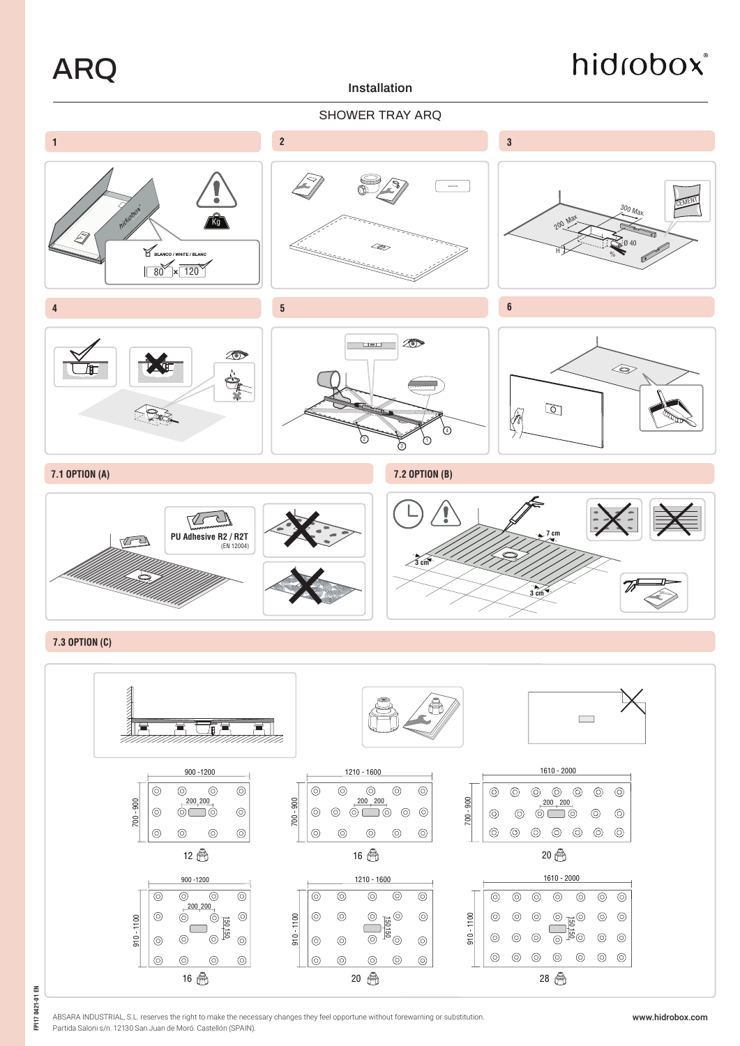ARQ

**Installation**

# hidrobox®









#### **7.3 OPTION (C)**



ABSARA INDUSTRIAL, S.L. reserves the right to make the necessary changes they feel opportune without forewarning or substitution. Partida Saloni s/n. 12130 San Juan de Moró. Castellón (SPAIN).